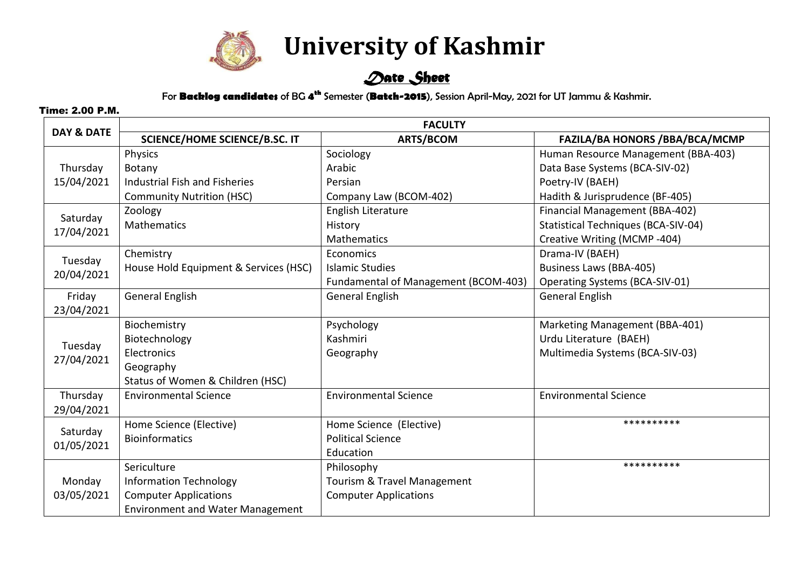

 **University of Kashmir**

## *Date Sheet*

For **Backlog candidates** of BG **4 th** Semester (**Batch-2015**), Session April-May, 2021 for UT Jammu & Kashmir.

Time: 2.00 P.M.

| DAY & DATE             | <b>FACULTY</b>                          |                                      |                                       |  |
|------------------------|-----------------------------------------|--------------------------------------|---------------------------------------|--|
|                        | <b>SCIENCE/HOME SCIENCE/B.SC. IT</b>    | <b>ARTS/BCOM</b>                     | <b>FAZILA/BA HONORS /BBA/BCA/MCMP</b> |  |
| Thursday<br>15/04/2021 | Physics                                 | Sociology                            | Human Resource Management (BBA-403)   |  |
|                        | Botany                                  | Arabic                               | Data Base Systems (BCA-SIV-02)        |  |
|                        | Industrial Fish and Fisheries           | Persian                              | Poetry-IV (BAEH)                      |  |
|                        | <b>Community Nutrition (HSC)</b>        | Company Law (BCOM-402)               | Hadith & Jurisprudence (BF-405)       |  |
| Saturday<br>17/04/2021 | Zoology                                 | English Literature                   | Financial Management (BBA-402)        |  |
|                        | <b>Mathematics</b>                      | History                              | Statistical Techniques (BCA-SIV-04)   |  |
|                        |                                         | Mathematics                          | Creative Writing (MCMP-404)           |  |
| Tuesday<br>20/04/2021  | Chemistry                               | Economics                            | Drama-IV (BAEH)                       |  |
|                        | House Hold Equipment & Services (HSC)   | <b>Islamic Studies</b>               | Business Laws (BBA-405)               |  |
|                        |                                         | Fundamental of Management (BCOM-403) | Operating Systems (BCA-SIV-01)        |  |
| Friday                 | <b>General English</b>                  | <b>General English</b>               | <b>General English</b>                |  |
| 23/04/2021             |                                         |                                      |                                       |  |
| Tuesday<br>27/04/2021  | Biochemistry                            | Psychology                           | Marketing Management (BBA-401)        |  |
|                        | Biotechnology                           | Kashmiri                             | Urdu Literature (BAEH)                |  |
|                        | Electronics                             | Geography                            | Multimedia Systems (BCA-SIV-03)       |  |
|                        | Geography                               |                                      |                                       |  |
|                        | Status of Women & Children (HSC)        |                                      |                                       |  |
| Thursday               | <b>Environmental Science</b>            | <b>Environmental Science</b>         | <b>Environmental Science</b>          |  |
| 29/04/2021             |                                         |                                      |                                       |  |
| Saturday<br>01/05/2021 | Home Science (Elective)                 | Home Science (Elective)              | **********                            |  |
|                        | <b>Bioinformatics</b>                   | <b>Political Science</b>             |                                       |  |
|                        |                                         | Education                            |                                       |  |
|                        | Sericulture                             | Philosophy                           | **********                            |  |
| Monday                 | <b>Information Technology</b>           | Tourism & Travel Management          |                                       |  |
| 03/05/2021             | <b>Computer Applications</b>            | <b>Computer Applications</b>         |                                       |  |
|                        | <b>Environment and Water Management</b> |                                      |                                       |  |